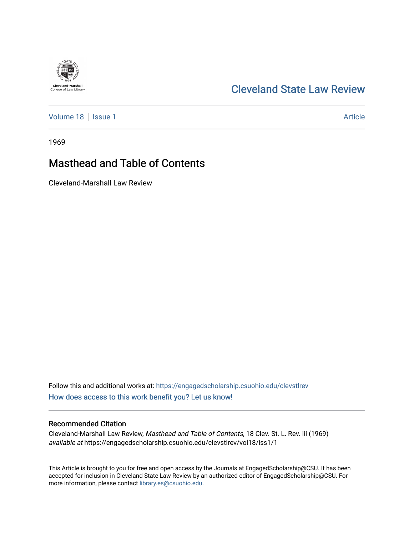## [Cleveland State Law Review](https://engagedscholarship.csuohio.edu/clevstlrev)

[Volume 18](https://engagedscholarship.csuohio.edu/clevstlrev/vol18) | [Issue 1](https://engagedscholarship.csuohio.edu/clevstlrev/vol18/iss1) Article

**Cleveland-Marshall**<br>College of Law Library

1969

# Masthead and Table of Contents

Cleveland-Marshall Law Review

Follow this and additional works at: [https://engagedscholarship.csuohio.edu/clevstlrev](https://engagedscholarship.csuohio.edu/clevstlrev?utm_source=engagedscholarship.csuohio.edu%2Fclevstlrev%2Fvol18%2Fiss1%2F1&utm_medium=PDF&utm_campaign=PDFCoverPages) [How does access to this work benefit you? Let us know!](http://library.csuohio.edu/engaged/)

### Recommended Citation

Cleveland-Marshall Law Review, Masthead and Table of Contents, 18 Clev. St. L. Rev. iii (1969) available at https://engagedscholarship.csuohio.edu/clevstlrev/vol18/iss1/1

This Article is brought to you for free and open access by the Journals at EngagedScholarship@CSU. It has been accepted for inclusion in Cleveland State Law Review by an authorized editor of EngagedScholarship@CSU. For more information, please contact [library.es@csuohio.edu](mailto:library.es@csuohio.edu).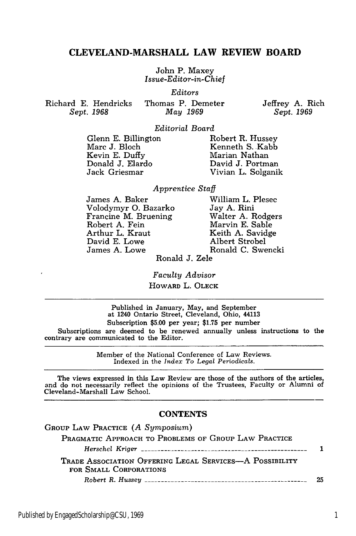### **CLEVELAND-MARSHALL LAW REVIEW BOARD**

John P. Maxey *Issue-Editor-in-Chief*

*Editors*

Richard **E.** Hendricks Sept. 1968

Thomas P. Demeter *May 1969*

Jeffrey A. Rich Sept. 1969

*Editorial Board*

Glenn E. Billington Marc J. Bloch Kevin E. Duffy Donald J. Elardo Jack Griesmar

Robert R. Hussey Kenneth S. Kabb Marian Nathan David J. Portman Vivian L. Solganik

## *Apprentice Staff*

James A. Baker Volodymyr **0.** Bazarko Francine M. Bruening Robert A. Fein Arthur L. Kraut David E. Lowe James A. Lowe

William L. Plesec Jay A. Rini Walter A. Rodgers Marvin E. Sable Keith A. Savidge Albert Strobel Ronald C. Swencki

Ronald **J.** Zele

*Faculty Advisor* HOWARD L. OLECK

Published in January, May, and September at 1240 Ontario Street, Cleveland, Ohio, 44113 Subscription \$5.00 per year; \$1.75 per number Subscriptions are deemed to be renewed annually unless instructions to the contrary are communicated to the Editor.

> Member of the National Conference of Law Reviews. Indexed in the *Index To Legal Periodicals.*

The views expressed in this Law Review are those of the authors of the articles, and do not necessarily reflect the opinions of the Trustees, Faculty or Alumni of Cleveland-Marshall Law School.

#### **CONTENTS**

| GROUP LAW PRACTICE $(A \; Symposium)$                   |    |
|---------------------------------------------------------|----|
| PRAGMATIC APPROACH TO PROBLEMS OF GROUP LAW PRACTICE    |    |
|                                                         |    |
| TRADE ASSOCIATION OFFERING LEGAL SERVICES—A POSSIBILITY |    |
| FOR SMALL CORPORATIONS                                  |    |
|                                                         | クド |